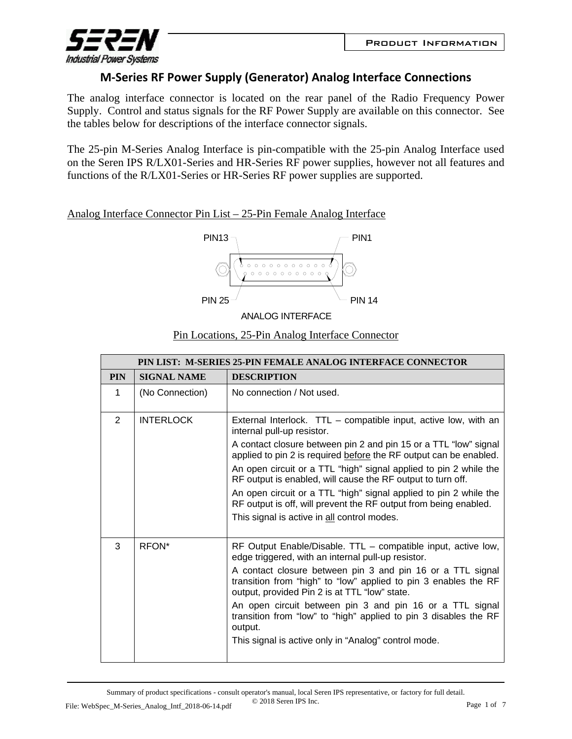

## **M‐Series RF Power Supply (Generator) Analog Interface Connections**

The analog interface connector is located on the rear panel of the Radio Frequency Power Supply. Control and status signals for the RF Power Supply are available on this connector. See the tables below for descriptions of the interface connector signals.

The 25-pin M-Series Analog Interface is pin-compatible with the 25-pin Analog Interface used on the Seren IPS R/LX01-Series and HR-Series RF power supplies, however not all features and functions of the R/LX01-Series or HR-Series RF power supplies are supported.

Analog Interface Connector Pin List – 25-Pin Female Analog Interface



ANALOG INTERFACE

## Pin Locations, 25-Pin Analog Interface Connector

|            | PIN LIST: M-SERIES 25-PIN FEMALE ANALOG INTERFACE CONNECTOR |                                                                                                                                                                                |  |  |  |
|------------|-------------------------------------------------------------|--------------------------------------------------------------------------------------------------------------------------------------------------------------------------------|--|--|--|
| <b>PIN</b> | <b>SIGNAL NAME</b>                                          | <b>DESCRIPTION</b>                                                                                                                                                             |  |  |  |
| 1          | (No Connection)                                             | No connection / Not used.                                                                                                                                                      |  |  |  |
| 2          | <b>INTERLOCK</b>                                            | External Interlock. $TTL$ – compatible input, active low, with an<br>internal pull-up resistor.                                                                                |  |  |  |
|            |                                                             | A contact closure between pin 2 and pin 15 or a TTL "low" signal<br>applied to pin 2 is required before the RF output can be enabled.                                          |  |  |  |
|            |                                                             | An open circuit or a TTL "high" signal applied to pin 2 while the<br>RF output is enabled, will cause the RF output to turn off.                                               |  |  |  |
|            |                                                             | An open circuit or a TTL "high" signal applied to pin 2 while the<br>RF output is off, will prevent the RF output from being enabled.                                          |  |  |  |
|            |                                                             | This signal is active in all control modes.                                                                                                                                    |  |  |  |
| 3          | RFON*                                                       | RF Output Enable/Disable. TTL - compatible input, active low,<br>edge triggered, with an internal pull-up resistor.                                                            |  |  |  |
|            |                                                             | A contact closure between pin 3 and pin 16 or a TTL signal<br>transition from "high" to "low" applied to pin 3 enables the RF<br>output, provided Pin 2 is at TTL "low" state. |  |  |  |
|            |                                                             | An open circuit between pin 3 and pin 16 or a TTL signal<br>transition from "low" to "high" applied to pin 3 disables the RF<br>output.                                        |  |  |  |
|            |                                                             | This signal is active only in "Analog" control mode.                                                                                                                           |  |  |  |

Summary of product specifications - consult operator's manual, local Seren IPS representative, or factory for full detail. © 2018 Seren IPS Inc. File: WebSpec\_M-Series\_Analog\_Intf\_2018-06-14.pdf  $\cup$  2018 Seren IPS Inc. Page 1 of 7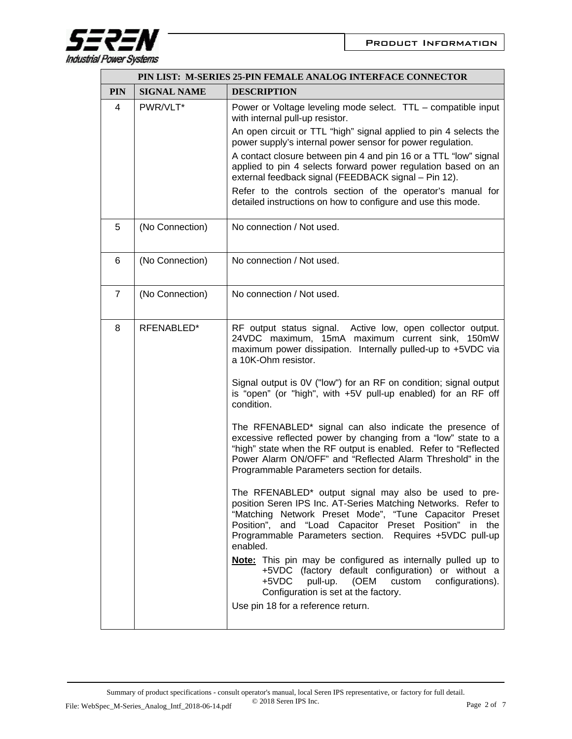

| PIN LIST: M-SERIES 25-PIN FEMALE ANALOG INTERFACE CONNECTOR |                    |                                                                                                                                                                                                                                                                                                                                                                                                                                                                                                                                                                                                                                                                                                                                                                                                                                                                                                                                                                                                                                                                                                                                                                                                                                                           |  |  |
|-------------------------------------------------------------|--------------------|-----------------------------------------------------------------------------------------------------------------------------------------------------------------------------------------------------------------------------------------------------------------------------------------------------------------------------------------------------------------------------------------------------------------------------------------------------------------------------------------------------------------------------------------------------------------------------------------------------------------------------------------------------------------------------------------------------------------------------------------------------------------------------------------------------------------------------------------------------------------------------------------------------------------------------------------------------------------------------------------------------------------------------------------------------------------------------------------------------------------------------------------------------------------------------------------------------------------------------------------------------------|--|--|
| <b>PIN</b>                                                  | <b>SIGNAL NAME</b> | <b>DESCRIPTION</b>                                                                                                                                                                                                                                                                                                                                                                                                                                                                                                                                                                                                                                                                                                                                                                                                                                                                                                                                                                                                                                                                                                                                                                                                                                        |  |  |
| 4                                                           | PWR/VLT*           | Power or Voltage leveling mode select. TTL - compatible input<br>with internal pull-up resistor.<br>An open circuit or TTL "high" signal applied to pin 4 selects the<br>power supply's internal power sensor for power regulation.<br>A contact closure between pin 4 and pin 16 or a TTL "low" signal<br>applied to pin 4 selects forward power regulation based on an<br>external feedback signal (FEEDBACK signal - Pin 12).<br>Refer to the controls section of the operator's manual for<br>detailed instructions on how to configure and use this mode.                                                                                                                                                                                                                                                                                                                                                                                                                                                                                                                                                                                                                                                                                            |  |  |
| 5                                                           | (No Connection)    | No connection / Not used.                                                                                                                                                                                                                                                                                                                                                                                                                                                                                                                                                                                                                                                                                                                                                                                                                                                                                                                                                                                                                                                                                                                                                                                                                                 |  |  |
| 6                                                           | (No Connection)    | No connection / Not used.                                                                                                                                                                                                                                                                                                                                                                                                                                                                                                                                                                                                                                                                                                                                                                                                                                                                                                                                                                                                                                                                                                                                                                                                                                 |  |  |
| $\overline{7}$                                              | (No Connection)    | No connection / Not used.                                                                                                                                                                                                                                                                                                                                                                                                                                                                                                                                                                                                                                                                                                                                                                                                                                                                                                                                                                                                                                                                                                                                                                                                                                 |  |  |
| 8                                                           | RFENABLED*         | RF output status signal. Active low, open collector output.<br>24VDC maximum, 15mA maximum current sink, 150mW<br>maximum power dissipation. Internally pulled-up to +5VDC via<br>a 10K-Ohm resistor.<br>Signal output is 0V ("low") for an RF on condition; signal output<br>is "open" (or "high", with +5V pull-up enabled) for an RF off<br>condition.<br>The RFENABLED* signal can also indicate the presence of<br>excessive reflected power by changing from a "low" state to a<br>"high" state when the RF output is enabled. Refer to "Reflected<br>Power Alarm ON/OFF" and "Reflected Alarm Threshold" in the<br>Programmable Parameters section for details.<br>The RFENABLED* output signal may also be used to pre-<br>position Seren IPS Inc. AT-Series Matching Networks. Refer to<br>"Matching Network Preset Mode", "Tune Capacitor Preset<br>Position", and "Load Capacitor Preset Position" in the<br>Programmable Parameters section. Requires +5VDC pull-up<br>enabled.<br>Note: This pin may be configured as internally pulled up to<br>+5VDC (factory default configuration) or without a<br>+5VDC<br>pull-up.<br>(OEM<br>custom<br>configurations).<br>Configuration is set at the factory.<br>Use pin 18 for a reference return. |  |  |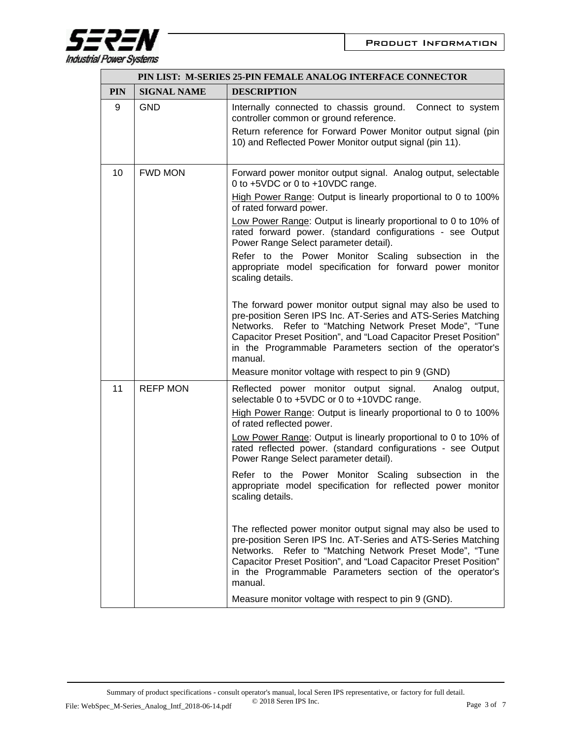

| PIN LIST: M-SERIES 25-PIN FEMALE ANALOG INTERFACE CONNECTOR |                    |                                                                                                                                                                                                                                                                                                                                       |  |  |
|-------------------------------------------------------------|--------------------|---------------------------------------------------------------------------------------------------------------------------------------------------------------------------------------------------------------------------------------------------------------------------------------------------------------------------------------|--|--|
| <b>PIN</b>                                                  | <b>SIGNAL NAME</b> | <b>DESCRIPTION</b>                                                                                                                                                                                                                                                                                                                    |  |  |
| 9                                                           | <b>GND</b>         | Internally connected to chassis ground.<br>Connect to system<br>controller common or ground reference.                                                                                                                                                                                                                                |  |  |
|                                                             |                    | Return reference for Forward Power Monitor output signal (pin<br>10) and Reflected Power Monitor output signal (pin 11).                                                                                                                                                                                                              |  |  |
| 10                                                          | <b>FWD MON</b>     | Forward power monitor output signal. Analog output, selectable<br>0 to +5VDC or 0 to +10VDC range.                                                                                                                                                                                                                                    |  |  |
|                                                             |                    | High Power Range: Output is linearly proportional to 0 to 100%<br>of rated forward power.                                                                                                                                                                                                                                             |  |  |
|                                                             |                    | Low Power Range: Output is linearly proportional to 0 to 10% of<br>rated forward power. (standard configurations - see Output<br>Power Range Select parameter detail).                                                                                                                                                                |  |  |
|                                                             |                    | Refer to the Power Monitor Scaling subsection in the<br>appropriate model specification for forward power monitor<br>scaling details.                                                                                                                                                                                                 |  |  |
|                                                             |                    | The forward power monitor output signal may also be used to<br>pre-position Seren IPS Inc. AT-Series and ATS-Series Matching<br>Networks. Refer to "Matching Network Preset Mode", "Tune<br>Capacitor Preset Position", and "Load Capacitor Preset Position"<br>in the Programmable Parameters section of the operator's<br>manual.   |  |  |
|                                                             |                    | Measure monitor voltage with respect to pin 9 (GND)                                                                                                                                                                                                                                                                                   |  |  |
| 11                                                          | <b>REFP MON</b>    | Reflected power monitor output signal.<br>Analog output,<br>selectable 0 to +5VDC or 0 to +10VDC range.                                                                                                                                                                                                                               |  |  |
|                                                             |                    | High Power Range: Output is linearly proportional to 0 to 100%<br>of rated reflected power.                                                                                                                                                                                                                                           |  |  |
|                                                             |                    | Low Power Range: Output is linearly proportional to 0 to 10% of<br>rated reflected power. (standard configurations - see Output<br>Power Range Select parameter detail).                                                                                                                                                              |  |  |
|                                                             |                    | Refer to the Power Monitor Scaling subsection in the<br>appropriate model specification for reflected power monitor<br>scaling details.                                                                                                                                                                                               |  |  |
|                                                             |                    | The reflected power monitor output signal may also be used to<br>pre-position Seren IPS Inc. AT-Series and ATS-Series Matching<br>Networks. Refer to "Matching Network Preset Mode", "Tune<br>Capacitor Preset Position", and "Load Capacitor Preset Position"<br>in the Programmable Parameters section of the operator's<br>manual. |  |  |
|                                                             |                    | Measure monitor voltage with respect to pin 9 (GND).                                                                                                                                                                                                                                                                                  |  |  |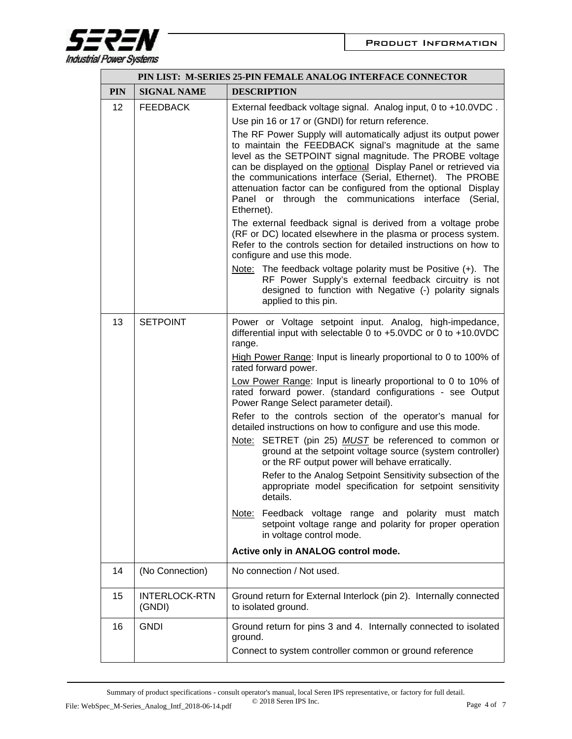

| PIN LIST: M-SERIES 25-PIN FEMALE ANALOG INTERFACE CONNECTOR |                                |                                                                                                                                                                                                                                                                                                                                                                                                                                                                                                                                                                                                                                                                                                                                                                                                                                                                                                                                                                                                                                                 |  |  |
|-------------------------------------------------------------|--------------------------------|-------------------------------------------------------------------------------------------------------------------------------------------------------------------------------------------------------------------------------------------------------------------------------------------------------------------------------------------------------------------------------------------------------------------------------------------------------------------------------------------------------------------------------------------------------------------------------------------------------------------------------------------------------------------------------------------------------------------------------------------------------------------------------------------------------------------------------------------------------------------------------------------------------------------------------------------------------------------------------------------------------------------------------------------------|--|--|
| <b>PIN</b>                                                  | <b>SIGNAL NAME</b>             | <b>DESCRIPTION</b>                                                                                                                                                                                                                                                                                                                                                                                                                                                                                                                                                                                                                                                                                                                                                                                                                                                                                                                                                                                                                              |  |  |
| 12                                                          | <b>FEEDBACK</b>                | External feedback voltage signal. Analog input, 0 to +10.0VDC.<br>Use pin 16 or 17 or (GNDI) for return reference.<br>The RF Power Supply will automatically adjust its output power<br>to maintain the FEEDBACK signal's magnitude at the same<br>level as the SETPOINT signal magnitude. The PROBE voltage<br>can be displayed on the optional Display Panel or retrieved via<br>the communications interface (Serial, Ethernet). The PROBE<br>attenuation factor can be configured from the optional Display<br>Panel or through the communications interface<br>(Serial,<br>Ethernet).<br>The external feedback signal is derived from a voltage probe<br>(RF or DC) located elsewhere in the plasma or process system.<br>Refer to the controls section for detailed instructions on how to<br>configure and use this mode.<br>Note: The feedback voltage polarity must be Positive $(+)$ . The<br>RF Power Supply's external feedback circuitry is not<br>designed to function with Negative (-) polarity signals<br>applied to this pin. |  |  |
| 13                                                          | <b>SETPOINT</b>                | Power or Voltage setpoint input. Analog, high-impedance,<br>differential input with selectable 0 to +5.0VDC or 0 to +10.0VDC<br>range.<br>High Power Range: Input is linearly proportional to 0 to 100% of<br>rated forward power.<br>Low Power Range: Input is linearly proportional to 0 to 10% of<br>rated forward power. (standard configurations - see Output<br>Power Range Select parameter detail).<br>Refer to the controls section of the operator's manual for<br>detailed instructions on how to configure and use this mode.<br>Note: SETRET (pin 25) MUST be referenced to common or<br>ground at the setpoint voltage source (system controller)<br>or the RF output power will behave erratically.<br>Refer to the Analog Setpoint Sensitivity subsection of the<br>appropriate model specification for setpoint sensitivity<br>details.<br>Note: Feedback voltage range and polarity must match<br>setpoint voltage range and polarity for proper operation<br>in voltage control mode.<br>Active only in ANALOG control mode. |  |  |
| 14                                                          | (No Connection)                | No connection / Not used.                                                                                                                                                                                                                                                                                                                                                                                                                                                                                                                                                                                                                                                                                                                                                                                                                                                                                                                                                                                                                       |  |  |
| 15                                                          | <b>INTERLOCK-RTN</b><br>(GNDI) | Ground return for External Interlock (pin 2). Internally connected<br>to isolated ground.                                                                                                                                                                                                                                                                                                                                                                                                                                                                                                                                                                                                                                                                                                                                                                                                                                                                                                                                                       |  |  |
| 16                                                          | <b>GNDI</b>                    | Ground return for pins 3 and 4. Internally connected to isolated<br>ground.<br>Connect to system controller common or ground reference                                                                                                                                                                                                                                                                                                                                                                                                                                                                                                                                                                                                                                                                                                                                                                                                                                                                                                          |  |  |

Summary of product specifications - consult operator's manual, local Seren IPS representative, or factory for full detail.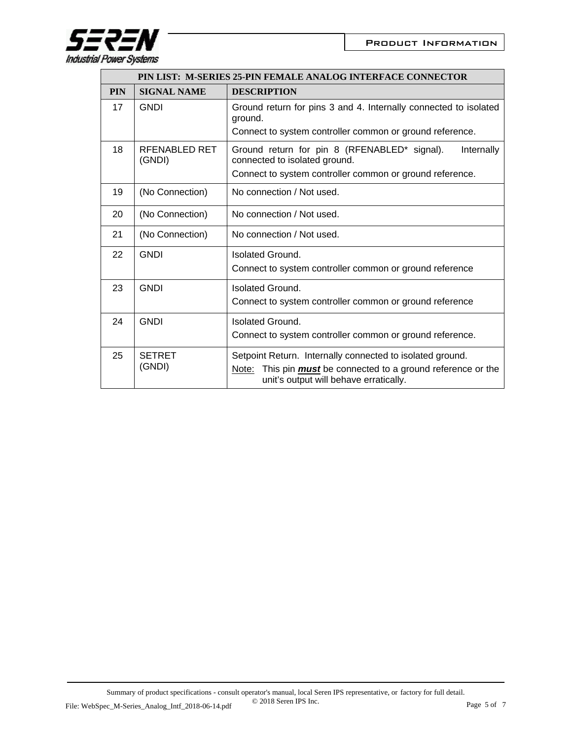

| PIN LIST: M-SERIES 25-PIN FEMALE ANALOG INTERFACE CONNECTOR |                         |                                                                                                                                                                                |  |
|-------------------------------------------------------------|-------------------------|--------------------------------------------------------------------------------------------------------------------------------------------------------------------------------|--|
| <b>PIN</b>                                                  | <b>SIGNAL NAME</b>      | <b>DESCRIPTION</b>                                                                                                                                                             |  |
| 17                                                          | <b>GNDI</b>             | Ground return for pins 3 and 4. Internally connected to isolated<br>ground.<br>Connect to system controller common or ground reference.                                        |  |
| 18                                                          | RFENABLED RET<br>(GNDI) | Ground return for pin 8 (RFENABLED* signal).<br>Internally<br>connected to isolated ground.<br>Connect to system controller common or ground reference.                        |  |
| 19                                                          | (No Connection)         | No connection / Not used.                                                                                                                                                      |  |
| 20                                                          | (No Connection)         | No connection / Not used.                                                                                                                                                      |  |
| 21                                                          | (No Connection)         | No connection / Not used.                                                                                                                                                      |  |
| 22                                                          | <b>GNDI</b>             | Isolated Ground.<br>Connect to system controller common or ground reference                                                                                                    |  |
| 23                                                          | <b>GNDI</b>             | <b>Isolated Ground.</b><br>Connect to system controller common or ground reference                                                                                             |  |
| 24                                                          | <b>GNDI</b>             | <b>Isolated Ground.</b><br>Connect to system controller common or ground reference.                                                                                            |  |
| 25                                                          | <b>SETRET</b><br>(GNDI) | Setpoint Return. Internally connected to isolated ground.<br>This pin <i>must</i> be connected to a ground reference or the<br>Note:<br>unit's output will behave erratically. |  |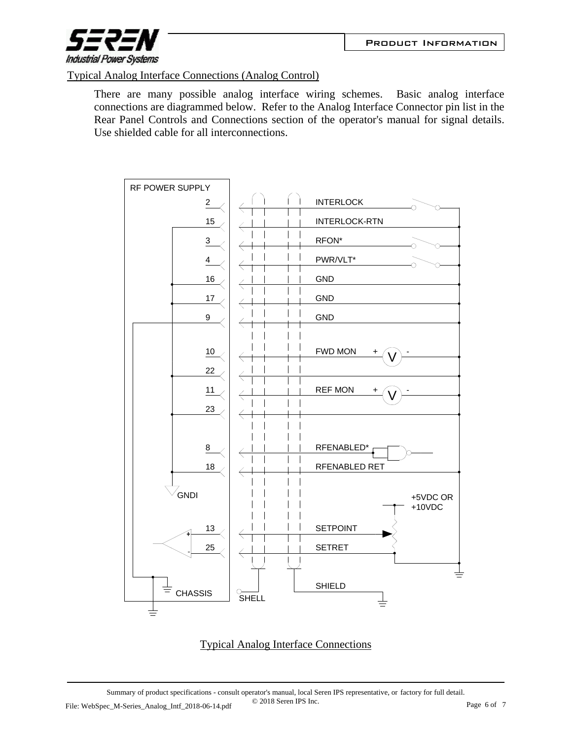

Typical Analog Interface Connections (Analog Control)

There are many possible analog interface wiring schemes. Basic analog interface connections are diagrammed below. Refer to the Analog Interface Connector pin list in the Rear Panel Controls and Connections section of the operator's manual for signal details. Use shielded cable for all interconnections.



## Typical Analog Interface Connections

Summary of product specifications - consult operator's manual, local Seren IPS representative, or factory for full detail. © 2018 Seren IPS Inc. File: WebSpec\_M-Series\_Analog\_Intf\_2018-06-14.pdf CO2018 Seren IPS Inc. Page 6 of 7